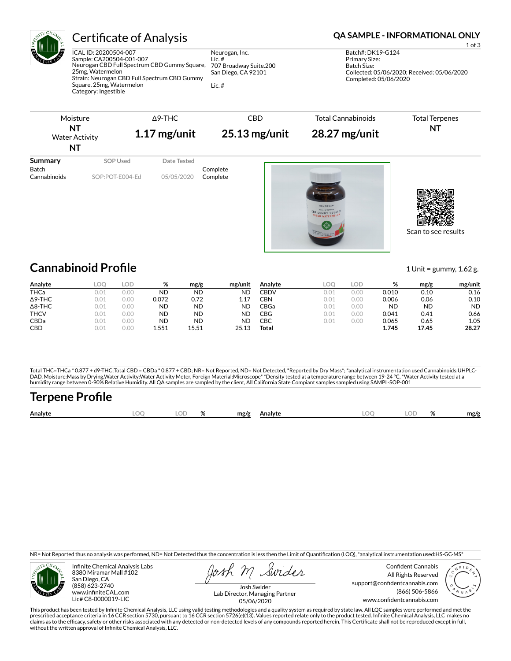

ICAL ID: 20200504-007 Sample: CA200504-001-007 Neurogan CBD Full Spectrum CBD Gummy Square, 25mg, Watermelon Strain: Neurogan CBD Full Spectrum CBD Gummy Square, 25mg, Watermelon Category: Ingestible

Neurogan, Inc. Lic. # 707 Broadway Suite.200 San Diego, CA 92101 Lic. #

### Certificate of Analysis **Certificate of Analysis QA SAMPLE - INFORMATIONAL ONLY**

1 of 3 Batch#: DK19-G124 Primary Size: Batch Size: Collected: 05/06/2020; Received: 05/06/2020 Completed: 05/06/2020

| Moisture<br>NT<br><b>Water Activity</b><br>NT |                 | $\Delta$ 9-THC<br>$1.17$ mg/unit |                      | <b>Total Cannabinoids</b><br>28.27 mg/unit<br>$25.13$ mg/unit | <b>Total Terpenes</b><br>NT |  |
|-----------------------------------------------|-----------------|----------------------------------|----------------------|---------------------------------------------------------------|-----------------------------|--|
| Summary                                       | SOP Used        | Date Tested                      |                      |                                                               |                             |  |
| Batch<br>Cannabinoids                         | SOP:POT-E004-Ed | 05/05/2020                       | Complete<br>Complete | NEUROGAN'<br>CAD GUMMY SQUARES                                |                             |  |

Scan to see results

# **Cannabinoid Profile** 1 Unit = gummy, 1.62 g.

| Analyte        | LOC  | LOD                   | %         | mg/g      | mg/unit   | Analyte     | LOO  | LOD  | ∘∠<br>70  | mg/g      | mg/unit   |
|----------------|------|-----------------------|-----------|-----------|-----------|-------------|------|------|-----------|-----------|-----------|
| <b>THCa</b>    | 0.01 | 0.00                  | <b>ND</b> | <b>ND</b> | <b>ND</b> | <b>CBDV</b> | 0.01 | 0.00 | 0.010     | 0.10      | 0.16      |
| $\Delta$ 9-THC | 0.01 | 0.00                  | 0.072     | 0.72      | 1.17      | CBN         | 0.01 | 0.00 | 0.006     | 0.06      | 0.10      |
| $\Delta$ 8-THC | 0.01 | 0.00                  | ND        | <b>ND</b> | ND        | CBGa        | 0.01 | 0.00 | <b>ND</b> | <b>ND</b> | <b>ND</b> |
| <b>THCV</b>    | 0.01 | 0.00                  | ND        | <b>ND</b> | ND        | CBG         | 0.01 | 0.00 | 0.041     | 0.41      | 0.66      |
| CBDa           | 0.01 | 0.00                  | ND        | <b>ND</b> | <b>ND</b> | СВС         | 0.01 | 0.00 | 0.065     | 0.65      | 1.05      |
| CBD            | 0.01 | $\cap$ $\cap$<br>U.UU | 1.551     | 15.51     | 25.13     | Total       |      |      | 1.745     | 17.45     | 28.27     |

Total THC=THCa \* 0.877 + d9-THC;Total CBD = CBDa \* 0.877 + CBD; NR= Not Reported, ND= Not Detected, \*Reported by Dry Mass\*; \*analytical instrumentation used Cannabinoids:UHPLC-DAD, Moisture:Mass by Drying,Water Activity:Water Activity Meter, Foreign Material:Microscope\* \*Density tested at a temperature range between 19-24 °C, \*Water Activity tested at a<br>humidity range between 0-90% Relative Humi

# **Terpene Profile**

| Analyte | זר<br>∼ | $\mathbf{a}$ | mg/g | Analvte | , |  | mg/g |
|---------|---------|--------------|------|---------|---|--|------|
|         |         |              |      |         |   |  |      |

NR= Not Reported thus no analysis was performed, ND= Not Detected thus the concentration is less then the Limit of Quantification (LOQ), \*analytical instrumentation used:HS-GC-MS\*



Infinite Chemical Analysis Labs 8380 Miramar Mall #102 San Diego, CA (858) 623-2740 www.infiniteCAL.com Lic# C8-0000019-LIC

Swides

Confident Cannabis All Rights Reserved support@confidentcannabis.com (866) 506-5866 www.confidentcannabis.com



Josh Swider Lab Director, Managing Partner 05/06/2020

This product has been tested by Infinite Chemical Analysis, LLC using valid testing methodologies and a quality system as required by state law. All LQC samples were performed and met the prescribed acceptance criteria in 16 CCR section 5730, pursuant to 16 CCR section 5726(e)(13). Values reported relate only to the product tested. Infinite Chemical Analysis, LLC makes no<br>claims as to the efficacy, safety o without the written approval of Infinite Chemical Analysis, LLC.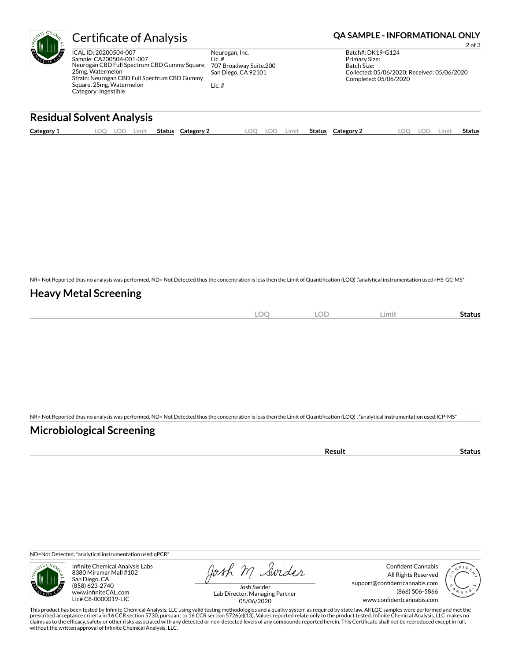|                   | <b>Certificate of Analysis</b>                                                                                                                                                                                            | <b>QA SAMPLE - INFORMATIONAL ONLY</b><br>$2$ of $3$                                  |                                                                                                                                  |
|-------------------|---------------------------------------------------------------------------------------------------------------------------------------------------------------------------------------------------------------------------|--------------------------------------------------------------------------------------|----------------------------------------------------------------------------------------------------------------------------------|
| EULE <sub>S</sub> | ICAL ID: 20200504-007<br>Sample: CA200504-001-007<br>Neurogan CBD Full Spectrum CBD Gummy Square,<br>25mg. Watermelon<br>Strain: Neurogan CBD Full Spectrum CBD Gummy<br>Square, 25mg, Watermelon<br>Category: Ingestible | Neurogan, Inc.<br>Lic. $#$<br>707 Broadway Suite.200<br>San Diego, CA 92101<br>Lic.# | Batch#: DK19-G124<br><b>Primary Size:</b><br>Batch Size:<br>Collected: 05/06/2020; Received: 05/06/2020<br>Completed: 05/06/2020 |

### **Residual Solvent Analysis**

| Category 1 | $\Omega$<br>LOD. | Limit | Status | Category 2 | LOO | LOD | ∟imit | Status | Category 2 | .OO | LOD | ∟imit | <b>Status</b> |
|------------|------------------|-------|--------|------------|-----|-----|-------|--------|------------|-----|-----|-------|---------------|
|            |                  |       |        |            |     |     |       |        |            |     |     |       |               |

NR= Not Reported thus no analysis was performed, ND= Not Detected thus the concentration is less then the Limit of Quantification (LOQ),\*analytical instrumentation used=HS-GC-MS\*

### **Heavy Metal Screening**

| ΩC<br>$-\sim$<br>$\sim$ | <b>LOD</b> | Limit | Status |
|-------------------------|------------|-------|--------|
|                         |            |       |        |

NR= Not Reported thus no analysis was performed, ND= Not Detected thus the concentration is less then the Limit of Quantification (LOQ) , \*analytical instrumentation used:ICP-MS\*

### **Microbiological Screening**

| $ -$<br>-July<br> |  |
|-------------------|--|
|                   |  |

ND=Not Detected; \*analytical instrumentation used:qPCR\*



Infinite Chemical Analysis Labs 8380 Miramar Mall #102 San Diego, CA (858) 623-2740 www.infiniteCAL.com Lic# C8-0000019-LIC

Josh M Swider

Confident Cannabis All Rights Reserved support@confidentcannabis.com (866) 506-5866 www.confidentcannabis.com



Josh Swider Lab Director, Managing Partner 05/06/2020

This product has been tested by Infinite Chemical Analysis, LLC using valid testing methodologies and a quality system as required by state law. All LQC samples were performed and met the<br>prescribed acceptance criteria in without the written approval of Infinite Chemical Analysis, LLC.